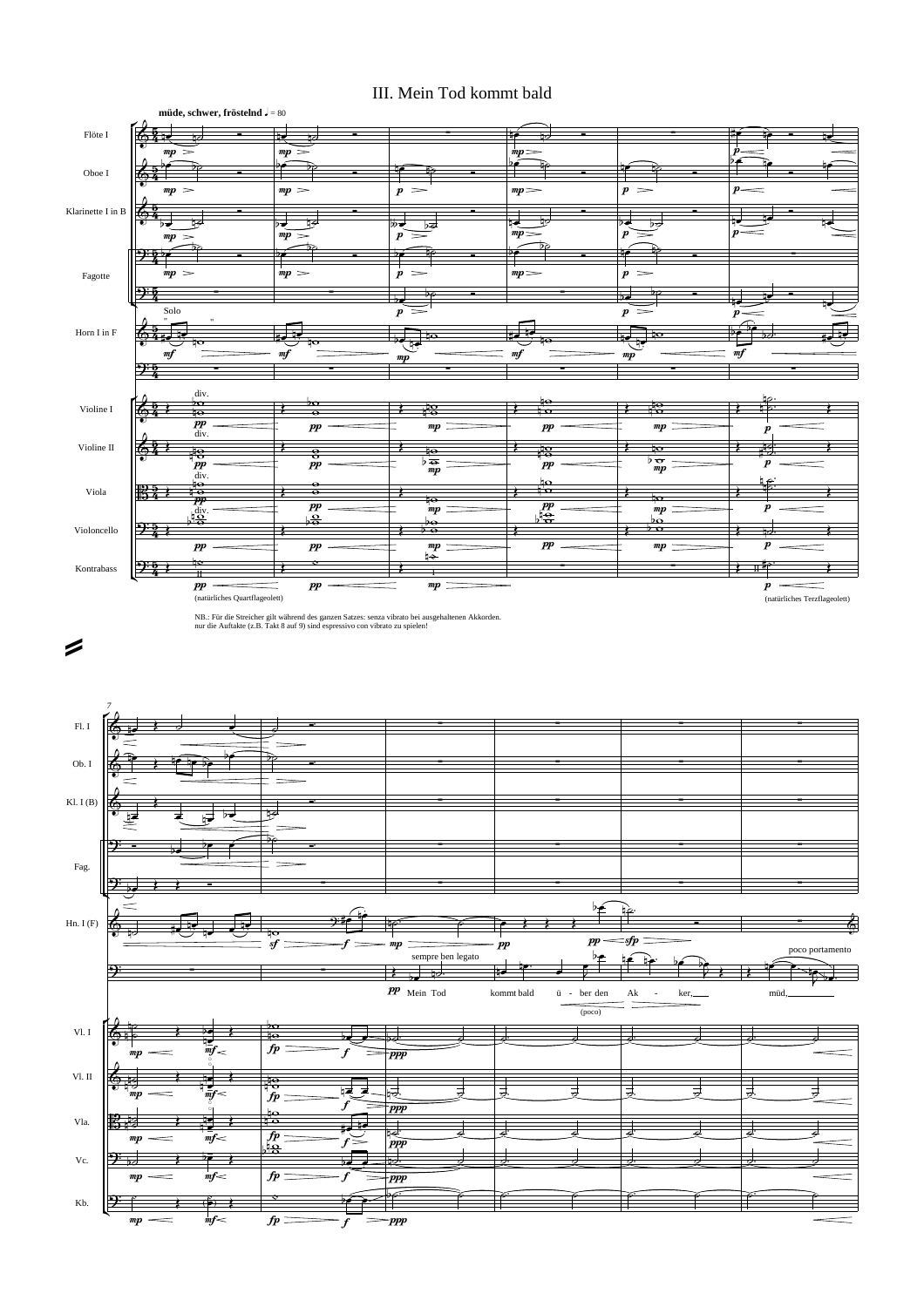## III. Mein Tod kommt bald



NB.: Für die Streicher gilt während des ganzen Satzes: senza vibrato bei ausgehaltenen Akkorden. nur die Auftakte (z.B. Takt 8 auf 9) sind espressivo con vibrato zu spielen!

∕

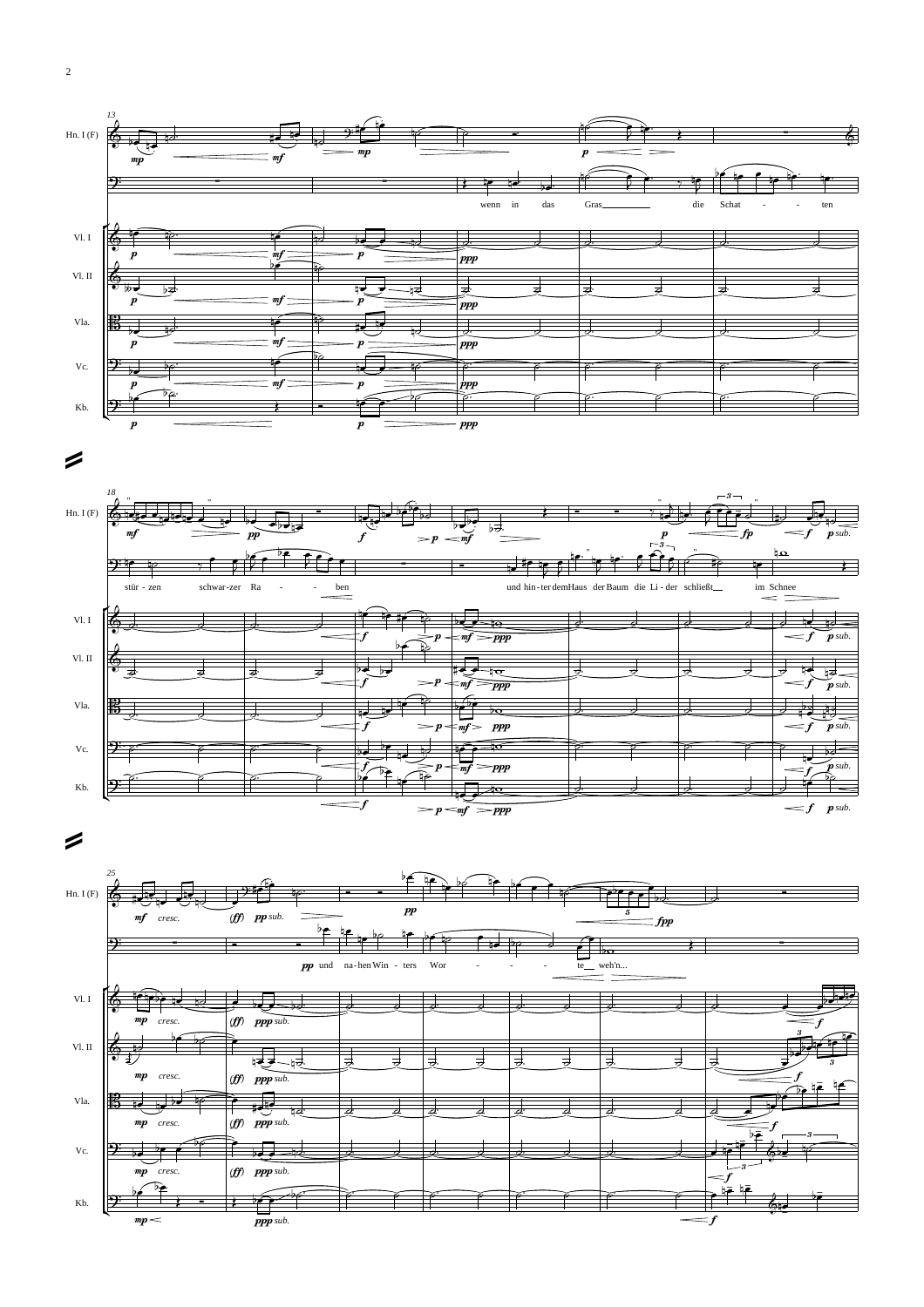



 $\geq$ 



2